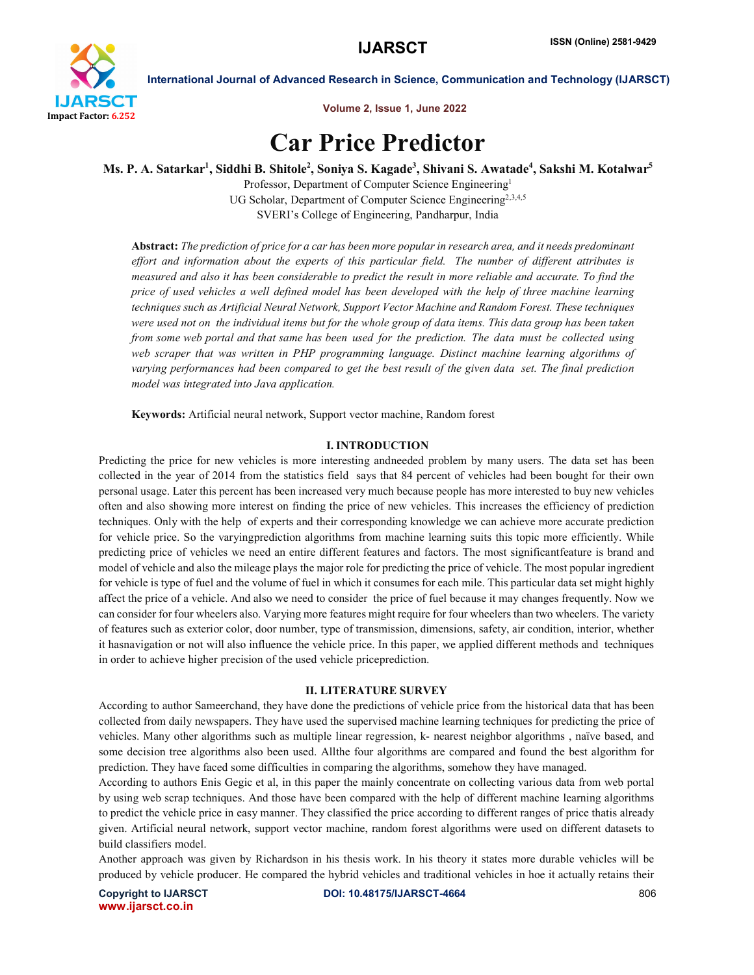

Volume 2, Issue 1, June 2022

# Car Price Predictor

Ms. P. A. Satarkar<sup>1</sup>, Siddhi B. Shitole<sup>2</sup>, Soniya S. Kagade<sup>3</sup>, Shivani S. Awatade<sup>4</sup>, Sakshi M. Kotalwar<sup>5</sup>

Professor, Department of Computer Science Engineering<sup>1</sup> UG Scholar, Department of Computer Science Engineering<sup>2,3,4,5</sup> SVERI's College of Engineering, Pandharpur, India

Abstract: *The prediction of price for a car has been more popular in research area, and it needs predominant effort and information about the experts of this particular field. The number of different attributes is measured and also it has been considerable to predict the result in more reliable and accurate. To find the price of used vehicles a well defined model has been developed with the help of three machine learning techniques such as Artificial Neural Network, Support Vector Machine and Random Forest. These techniques were used not on the individual items but for the whole group of data items. This data group has been taken from some web portal and that same has been used for the prediction. The data must be collected using web scraper that was written in PHP programming language. Distinct machine learning algorithms of varying performances had been compared to get the best result of the given data set. The final prediction model was integrated into Java application.*

Keywords: Artificial neural network, Support vector machine, Random forest

# I. INTRODUCTION

Predicting the price for new vehicles is more interesting andneeded problem by many users. The data set has been collected in the year of 2014 from the statistics field says that 84 percent of vehicles had been bought for their own personal usage. Later this percent has been increased very much because people has more interested to buy new vehicles often and also showing more interest on finding the price of new vehicles. This increases the efficiency of prediction techniques. Only with the help of experts and their corresponding knowledge we can achieve more accurate prediction for vehicle price. So the varyingprediction algorithms from machine learning suits this topic more efficiently. While predicting price of vehicles we need an entire different features and factors. The most significantfeature is brand and model of vehicle and also the mileage plays the major role for predicting the price of vehicle. The most popular ingredient for vehicle is type of fuel and the volume of fuel in which it consumes for each mile. This particular data set might highly affect the price of a vehicle. And also we need to consider the price of fuel because it may changes frequently. Now we can consider for four wheelers also. Varying more features might require for four wheelers than two wheelers. The variety of features such as exterior color, door number, type of transmission, dimensions, safety, air condition, interior, whether it hasnavigation or not will also influence the vehicle price. In this paper, we applied different methods and techniques in order to achieve higher precision of the used vehicle priceprediction.

# II. LITERATURE SURVEY

According to author Sameerchand, they have done the predictions of vehicle price from the historical data that has been collected from daily newspapers. They have used the supervised machine learning techniques for predicting the price of vehicles. Many other algorithms such as multiple linear regression, k- nearest neighbor algorithms , naïve based, and some decision tree algorithms also been used. Allthe four algorithms are compared and found the best algorithm for prediction. They have faced some difficulties in comparing the algorithms, somehow they have managed.

According to authors Enis Gegic et al, in this paper the mainly concentrate on collecting various data from web portal by using web scrap techniques. And those have been compared with the help of different machine learning algorithms to predict the vehicle price in easy manner. They classified the price according to different ranges of price thatis already given. Artificial neural network, support vector machine, random forest algorithms were used on different datasets to build classifiers model.

Another approach was given by Richardson in his thesis work. In his theory it states more durable vehicles will be produced by vehicle producer. He compared the hybrid vehicles and traditional vehicles in hoe it actually retains their

www.ijarsct.co.in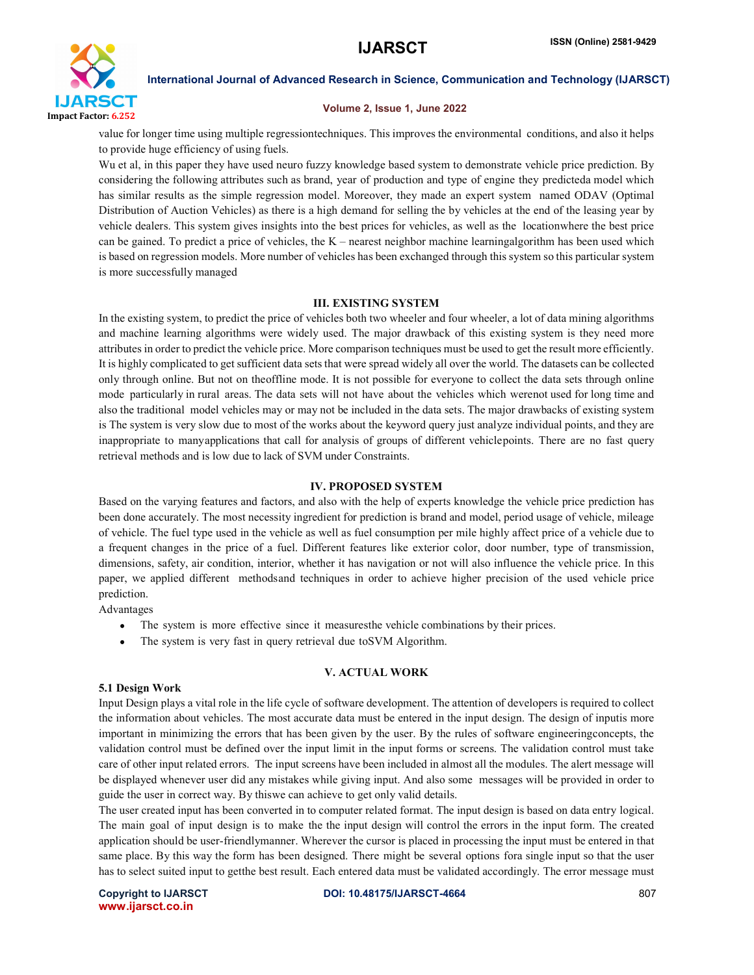

#### Volume 2, Issue 1, June 2022

value for longer time using multiple regressiontechniques. This improves the environmental conditions, and also it helps to provide huge efficiency of using fuels.

Wu et al, in this paper they have used neuro fuzzy knowledge based system to demonstrate vehicle price prediction. By considering the following attributes such as brand, year of production and type of engine they predicteda model which has similar results as the simple regression model. Moreover, they made an expert system named ODAV (Optimal Distribution of Auction Vehicles) as there is a high demand for selling the by vehicles at the end of the leasing year by vehicle dealers. This system gives insights into the best prices for vehicles, as well as the locationwhere the best price can be gained. To predict a price of vehicles, the K – nearest neighbor machine learningalgorithm has been used which is based on regression models. More number of vehicles has been exchanged through this system so this particular system is more successfully managed

# III. EXISTING SYSTEM

In the existing system, to predict the price of vehicles both two wheeler and four wheeler, a lot of data mining algorithms and machine learning algorithms were widely used. The major drawback of this existing system is they need more attributes in order to predict the vehicle price. More comparison techniques must be used to get the result more efficiently. It is highly complicated to get sufficient data sets that were spread widely all over the world. The datasets can be collected only through online. But not on theoffline mode. It is not possible for everyone to collect the data sets through online mode particularly in rural areas. The data sets will not have about the vehicles which werenot used for long time and also the traditional model vehicles may or may not be included in the data sets. The major drawbacks of existing system is The system is very slow due to most of the works about the keyword query just analyze individual points, and they are inappropriate to manyapplications that call for analysis of groups of different vehiclepoints. There are no fast query retrieval methods and is low due to lack of SVM under Constraints.

### IV. PROPOSED SYSTEM

Based on the varying features and factors, and also with the help of experts knowledge the vehicle price prediction has been done accurately. The most necessity ingredient for prediction is brand and model, period usage of vehicle, mileage of vehicle. The fuel type used in the vehicle as well as fuel consumption per mile highly affect price of a vehicle due to a frequent changes in the price of a fuel. Different features like exterior color, door number, type of transmission, dimensions, safety, air condition, interior, whether it has navigation or not will also influence the vehicle price. In this paper, we applied different methodsand techniques in order to achieve higher precision of the used vehicle price prediction.

Advantages

- $\bullet$ The system is more effective since it measuresthe vehicle combinations by their prices.
- $\bullet$ The system is very fast in query retrieval due toSVM Algorithm.

# V. ACTUAL WORK

### 5.1 Design Work

Input Design plays a vital role in the life cycle of software development. The attention of developers is required to collect the information about vehicles. The most accurate data must be entered in the input design. The design of inputis more important in minimizing the errors that has been given by the user. By the rules of software engineeringconcepts, the validation control must be defined over the input limit in the input forms or screens. The validation control must take care of other input related errors. The input screens have been included in almost all the modules. The alert message will be displayed whenever user did any mistakes while giving input. And also some messages will be provided in order to guide the user in correct way. By thiswe can achieve to get only valid details.

The user created input has been converted in to computer related format. The input design is based on data entry logical. The main goal of input design is to make the the input design will control the errors in the input form. The created application should be user-friendlymanner. Wherever the cursor is placed in processing the input must be entered in that same place. By this way the form has been designed. There might be several options fora single input so that the user has to select suited input to getthe best result. Each entered data must be validated accordingly. The error message must

www.ijarsct.co.in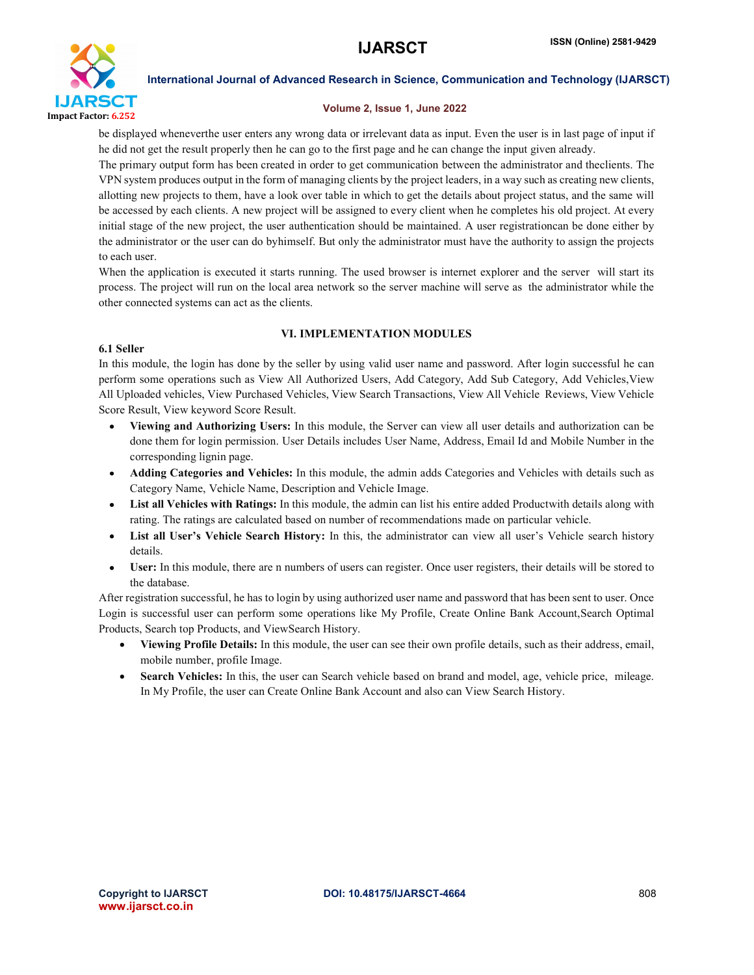

### Volume 2, Issue 1, June 2022

be displayed wheneverthe user enters any wrong data or irrelevant data as input. Even the user is in last page of input if he did not get the result properly then he can go to the first page and he can change the input given already.

The primary output form has been created in order to get communication between the administrator and theclients. The VPN system produces output in the form of managing clients by the project leaders, in a way such as creating new clients, allotting new projects to them, have a look over table in which to get the details about project status, and the same will be accessed by each clients. A new project will be assigned to every client when he completes his old project. At every initial stage of the new project, the user authentication should be maintained. A user registrationcan be done either by the administrator or the user can do byhimself. But only the administrator must have the authority to assign the projects to each user.

When the application is executed it starts running. The used browser is internet explorer and the server will start its process. The project will run on the local area network so the server machine will serve as the administrator while the other connected systems can act as the clients.

# VI. IMPLEMENTATION MODULES

### 6.1 Seller

In this module, the login has done by the seller by using valid user name and password. After login successful he can perform some operations such as View All Authorized Users, Add Category, Add Sub Category, Add Vehicles, View All Uploaded vehicles, View Purchased Vehicles, View Search Transactions, View All Vehicle Reviews, View Vehicle Score Result, View keyword Score Result.

- Viewing and Authorizing Users: In this module, the Server can view all user details and authorization can be done them for login permission. User Details includes User Name, Address, Email Id and Mobile Number in the corresponding lignin page.
- Adding Categories and Vehicles: In this module, the admin adds Categories and Vehicles with details such as Category Name, Vehicle Name, Description and Vehicle Image.
- List all Vehicles with Ratings: In this module, the admin can list his entire added Productwith details along with rating. The ratings are calculated based on number of recommendations made on particular vehicle.
- List all User's Vehicle Search History: In this, the administrator can view all user's Vehicle search history details.
- User: In this module, there are n numbers of users can register. Once user registers, their details will be stored to the database.

After registration successful, he has to login by using authorized user name and password that has been sent to user. Once Login is successful user can perform some operations like My Profile, Create Online Bank Account,Search Optimal Products, Search top Products, and ViewSearch History.

- Viewing Profile Details: In this module, the user can see their own profile details, such as their address, email, mobile number, profile Image.
- Search Vehicles: In this, the user can Search vehicle based on brand and model, age, vehicle price, mileage. In My Profile, the user can Create Online Bank Account and also can View Search History.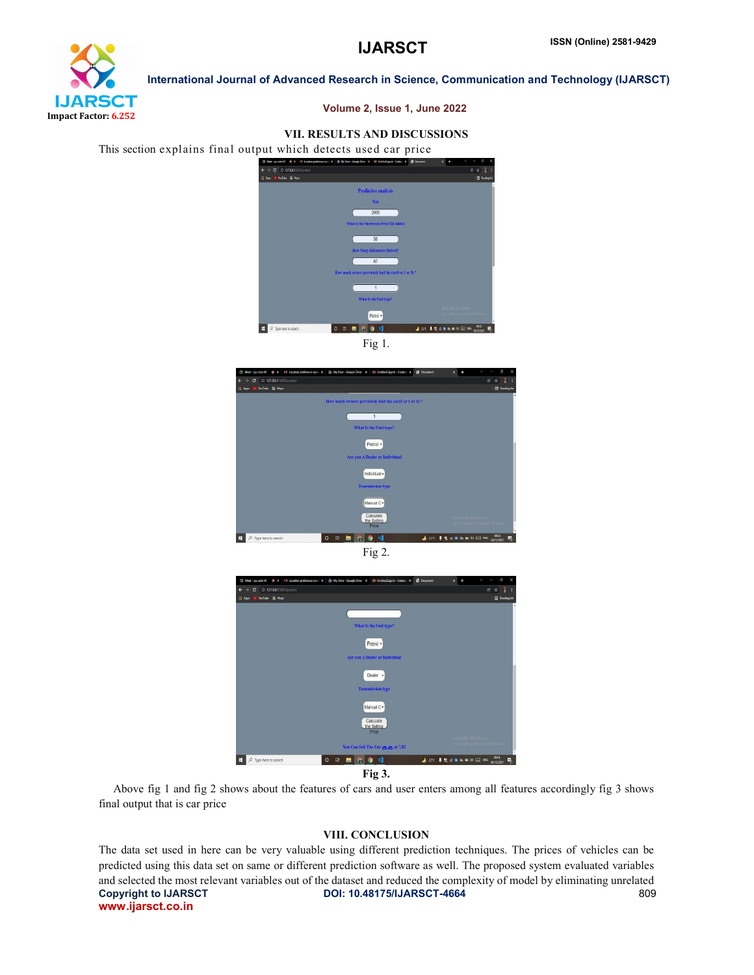

#### Volume 2, Issue 1, June 2022

# VII. RESULTS AND DISCUSSIONS

This section explains final output which detects used car price



Fig 1.



Fig 2.



Fig 3.

 Above fig 1 and fig 2 shows about the features of cars and user enters among all features accordingly fig 3 shows final output that is car price

#### VIII. CONCLUSION

Copyright to IJARSCT **DOI: 10.48175/IJARSCT-4664** 809 www.ijarsct.co.in The data set used in here can be very valuable using different prediction techniques. The prices of vehicles can be predicted using this data set on same or different prediction software as well. The proposed system evaluated variables and selected the most relevant variables out of the dataset and reduced the complexity of model by eliminating unrelated